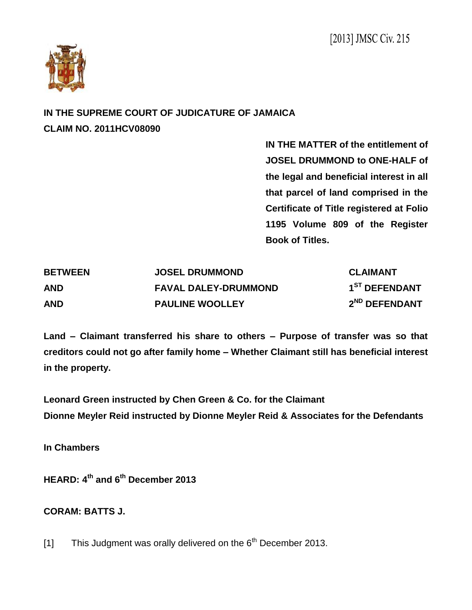

## **IN THE SUPREME COURT OF JUDICATURE OF JAMAICA CLAIM NO. 2011HCV08090**

**IN THE MATTER of the entitlement of JOSEL DRUMMOND to ONE-HALF of the legal and beneficial interest in all that parcel of land comprised in the Certificate of Title registered at Folio 1195 Volume 809 of the Register Book of Titles.**

| <b>BETWEEN</b> | <b>JOSEL DRUMMOND</b>       | <b>CLAIMANT</b>           |
|----------------|-----------------------------|---------------------------|
| <b>AND</b>     | <b>FAVAL DALEY-DRUMMOND</b> | 1 <sup>ST</sup> DEFENDANT |
| <b>AND</b>     | <b>PAULINE WOOLLEY</b>      | 2 <sup>ND</sup> DEFENDANT |

**Land – Claimant transferred his share to others – Purpose of transfer was so that creditors could not go after family home – Whether Claimant still has beneficial interest in the property.** 

**Leonard Green instructed by Chen Green & Co. for the Claimant Dionne Meyler Reid instructed by Dionne Meyler Reid & Associates for the Defendants**

**In Chambers**

**HEARD: 4 th and 6 th December 2013**

## **CORAM: BATTS J.**

[1] This Judgment was orally delivered on the  $6<sup>th</sup>$  December 2013.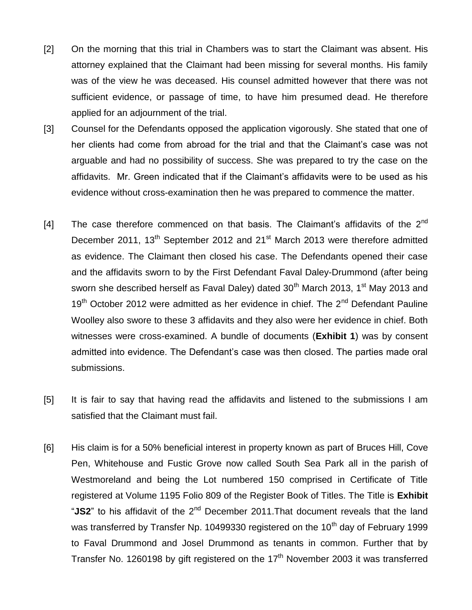- [2] On the morning that this trial in Chambers was to start the Claimant was absent. His attorney explained that the Claimant had been missing for several months. His family was of the view he was deceased. His counsel admitted however that there was not sufficient evidence, or passage of time, to have him presumed dead. He therefore applied for an adjournment of the trial.
- [3] Counsel for the Defendants opposed the application vigorously. She stated that one of her clients had come from abroad for the trial and that the Claimant's case was not arguable and had no possibility of success. She was prepared to try the case on the affidavits. Mr. Green indicated that if the Claimant's affidavits were to be used as his evidence without cross-examination then he was prepared to commence the matter.
- [4] The case therefore commenced on that basis. The Claimant's affidavits of the  $2^{nd}$ December 2011, 13<sup>th</sup> September 2012 and 21<sup>st</sup> March 2013 were therefore admitted as evidence. The Claimant then closed his case. The Defendants opened their case and the affidavits sworn to by the First Defendant Faval Daley-Drummond (after being sworn she described herself as Faval Daley) dated  $30<sup>th</sup>$  March 2013, 1<sup>st</sup> May 2013 and  $19<sup>th</sup>$  October 2012 were admitted as her evidence in chief. The 2<sup>nd</sup> Defendant Pauline Woolley also swore to these 3 affidavits and they also were her evidence in chief. Both witnesses were cross-examined. A bundle of documents (**Exhibit 1**) was by consent admitted into evidence. The Defendant's case was then closed. The parties made oral submissions.
- [5] It is fair to say that having read the affidavits and listened to the submissions I am satisfied that the Claimant must fail.
- [6] His claim is for a 50% beneficial interest in property known as part of Bruces Hill, Cove Pen, Whitehouse and Fustic Grove now called South Sea Park all in the parish of Westmoreland and being the Lot numbered 150 comprised in Certificate of Title registered at Volume 1195 Folio 809 of the Register Book of Titles. The Title is **Exhibit** "JS2" to his affidavit of the 2<sup>nd</sup> December 2011. That document reveals that the land was transferred by Transfer Np. 10499330 registered on the 10<sup>th</sup> day of February 1999 to Faval Drummond and Josel Drummond as tenants in common. Further that by Transfer No. 1260198 by gift registered on the  $17<sup>th</sup>$  November 2003 it was transferred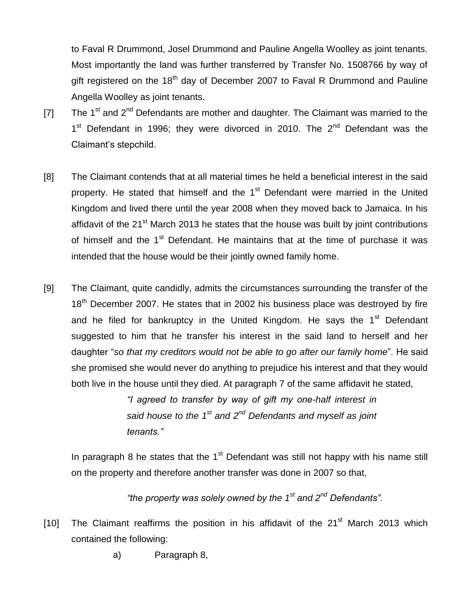to Faval R Drummond, Josel Drummond and Pauline Angella Woolley as joint tenants. Most importantly the land was further transferred by Transfer No. 1508766 by way of gift registered on the  $18<sup>th</sup>$  day of December 2007 to Faval R Drummond and Pauline Angella Woolley as joint tenants.

- [7] The 1<sup>st</sup> and 2<sup>nd</sup> Defendants are mother and daughter. The Claimant was married to the 1<sup>st</sup> Defendant in 1996; they were divorced in 2010. The 2<sup>nd</sup> Defendant was the Claimant's stepchild.
- [8] The Claimant contends that at all material times he held a beneficial interest in the said property. He stated that himself and the 1<sup>st</sup> Defendant were married in the United Kingdom and lived there until the year 2008 when they moved back to Jamaica. In his affidavit of the 21<sup>st</sup> March 2013 he states that the house was built by joint contributions of himself and the 1<sup>st</sup> Defendant. He maintains that at the time of purchase it was intended that the house would be their jointly owned family home.
- [9] The Claimant, quite candidly, admits the circumstances surrounding the transfer of the 18<sup>th</sup> December 2007. He states that in 2002 his business place was destroved by fire and he filed for bankruptcy in the United Kingdom. He says the  $1<sup>st</sup>$  Defendant suggested to him that he transfer his interest in the said land to herself and her daughter "*so that my creditors would not be able to go after our family home*". He said she promised she would never do anything to prejudice his interest and that they would both live in the house until they died. At paragraph 7 of the same affidavit he stated,

*"I agreed to transfer by way of gift my one-half interest in said house to the 1st and 2nd Defendants and myself as joint tenants."*

In paragraph 8 he states that the  $1<sup>st</sup>$  Defendant was still not happy with his name still on the property and therefore another transfer was done in 2007 so that,

*"the property was solely owned by the 1st and 2nd Defendants".*

- [10] The Claimant reaffirms the position in his affidavit of the  $21<sup>st</sup>$  March 2013 which contained the following:
	- a) Paragraph 8,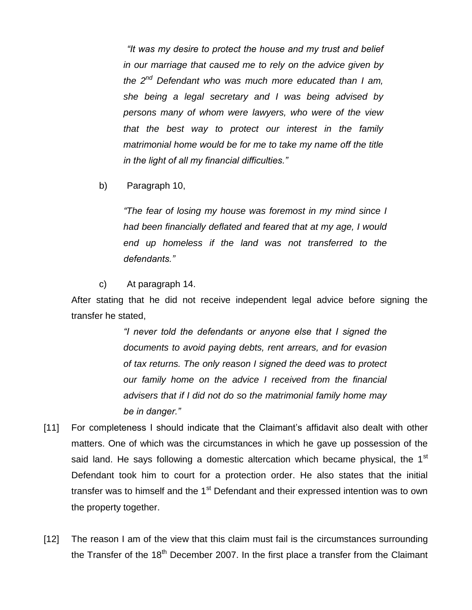*"It was my desire to protect the house and my trust and belief in our marriage that caused me to rely on the advice given by the 2nd Defendant who was much more educated than I am, she being a legal secretary and I was being advised by persons many of whom were lawyers, who were of the view that the best way to protect our interest in the family matrimonial home would be for me to take my name off the title in the light of all my financial difficulties."*

b) Paragraph 10,

*"The fear of losing my house was foremost in my mind since I had been financially deflated and feared that at my age, I would end up homeless if the land was not transferred to the defendants."*

## c) At paragraph 14.

After stating that he did not receive independent legal advice before signing the transfer he stated,

> *"I never told the defendants or anyone else that I signed the documents to avoid paying debts, rent arrears, and for evasion of tax returns. The only reason I signed the deed was to protect our family home on the advice I received from the financial advisers that if I did not do so the matrimonial family home may be in danger."*

- [11] For completeness I should indicate that the Claimant's affidavit also dealt with other matters. One of which was the circumstances in which he gave up possession of the said land. He says following a domestic altercation which became physical, the 1<sup>st</sup> Defendant took him to court for a protection order. He also states that the initial transfer was to himself and the 1<sup>st</sup> Defendant and their expressed intention was to own the property together.
- [12] The reason I am of the view that this claim must fail is the circumstances surrounding the Transfer of the  $18<sup>th</sup>$  December 2007. In the first place a transfer from the Claimant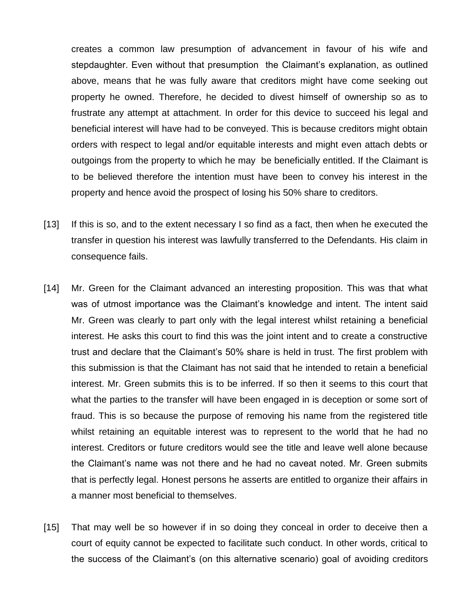creates a common law presumption of advancement in favour of his wife and stepdaughter. Even without that presumption the Claimant's explanation, as outlined above, means that he was fully aware that creditors might have come seeking out property he owned. Therefore, he decided to divest himself of ownership so as to frustrate any attempt at attachment. In order for this device to succeed his legal and beneficial interest will have had to be conveyed. This is because creditors might obtain orders with respect to legal and/or equitable interests and might even attach debts or outgoings from the property to which he may be beneficially entitled. If the Claimant is to be believed therefore the intention must have been to convey his interest in the property and hence avoid the prospect of losing his 50% share to creditors.

- [13] If this is so, and to the extent necessary I so find as a fact, then when he executed the transfer in question his interest was lawfully transferred to the Defendants. His claim in consequence fails.
- [14] Mr. Green for the Claimant advanced an interesting proposition. This was that what was of utmost importance was the Claimant's knowledge and intent. The intent said Mr. Green was clearly to part only with the legal interest whilst retaining a beneficial interest. He asks this court to find this was the joint intent and to create a constructive trust and declare that the Claimant's 50% share is held in trust. The first problem with this submission is that the Claimant has not said that he intended to retain a beneficial interest. Mr. Green submits this is to be inferred. If so then it seems to this court that what the parties to the transfer will have been engaged in is deception or some sort of fraud. This is so because the purpose of removing his name from the registered title whilst retaining an equitable interest was to represent to the world that he had no interest. Creditors or future creditors would see the title and leave well alone because the Claimant's name was not there and he had no caveat noted. Mr. Green submits that is perfectly legal. Honest persons he asserts are entitled to organize their affairs in a manner most beneficial to themselves.
- [15] That may well be so however if in so doing they conceal in order to deceive then a court of equity cannot be expected to facilitate such conduct. In other words, critical to the success of the Claimant's (on this alternative scenario) goal of avoiding creditors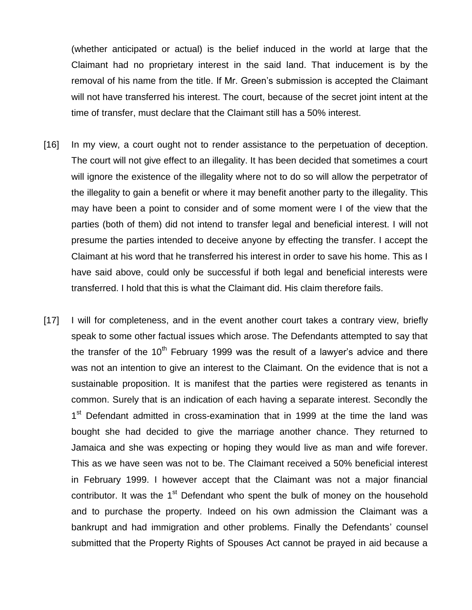(whether anticipated or actual) is the belief induced in the world at large that the Claimant had no proprietary interest in the said land. That inducement is by the removal of his name from the title. If Mr. Green's submission is accepted the Claimant will not have transferred his interest. The court, because of the secret joint intent at the time of transfer, must declare that the Claimant still has a 50% interest.

- [16] In my view, a court ought not to render assistance to the perpetuation of deception. The court will not give effect to an illegality. It has been decided that sometimes a court will ignore the existence of the illegality where not to do so will allow the perpetrator of the illegality to gain a benefit or where it may benefit another party to the illegality. This may have been a point to consider and of some moment were I of the view that the parties (both of them) did not intend to transfer legal and beneficial interest. I will not presume the parties intended to deceive anyone by effecting the transfer. I accept the Claimant at his word that he transferred his interest in order to save his home. This as I have said above, could only be successful if both legal and beneficial interests were transferred. I hold that this is what the Claimant did. His claim therefore fails.
- [17] I will for completeness, and in the event another court takes a contrary view, briefly speak to some other factual issues which arose. The Defendants attempted to say that the transfer of the  $10<sup>th</sup>$  February 1999 was the result of a lawyer's advice and there was not an intention to give an interest to the Claimant. On the evidence that is not a sustainable proposition. It is manifest that the parties were registered as tenants in common. Surely that is an indication of each having a separate interest. Secondly the 1<sup>st</sup> Defendant admitted in cross-examination that in 1999 at the time the land was bought she had decided to give the marriage another chance. They returned to Jamaica and she was expecting or hoping they would live as man and wife forever. This as we have seen was not to be. The Claimant received a 50% beneficial interest in February 1999. I however accept that the Claimant was not a major financial contributor. It was the  $1<sup>st</sup>$  Defendant who spent the bulk of money on the household and to purchase the property. Indeed on his own admission the Claimant was a bankrupt and had immigration and other problems. Finally the Defendants' counsel submitted that the Property Rights of Spouses Act cannot be prayed in aid because a